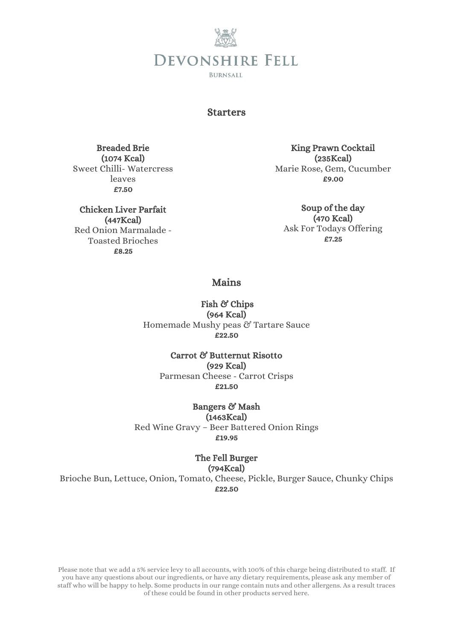

### Starters

Breaded Brie (1074 Kcal) Sweet Chilli- Watercress leaves £7.50

Chicken Liver Parfait (447Kcal) Red Onion Marmalade - Toasted Brioches £8.25

King Prawn Cocktail (235Kcal) Marie Rose, Gem, Cucumber £9.00

Soup of the day (470 Kcal) Ask For Todays Offering £7.25

Mains

Fish & Chips (964 Kcal) Homemade Mushy peas & Tartare Sauce £22.50

Carrot & Butternut Risotto (929 Kcal) Parmesan Cheese - Carrot Crisps £21.50

Bangers & Mash (1463Kcal)

Red Wine Gravy – Beer Battered Onion Rings £19.95

#### The Fell Burger (794Kcal)

Brioche Bun, Lettuce, Onion, Tomato, Cheese, Pickle, Burger Sauce, Chunky Chips £22.50

Please note that we add a 5% service levy to all accounts, with 100% of this charge being distributed to staff. If you have any questions about our ingredients, or have any dietary requirements, please ask any member of staff who will be happy to help. Some products in our range contain nuts and other allergens. As a result traces of these could be found in other products served here.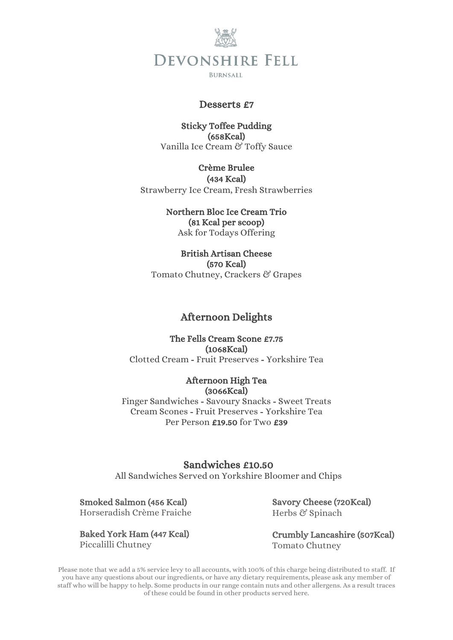

**BURNSALL** 

### Desserts £7

### Sticky Toffee Pudding (658Kcal) Vanilla Ice Cream & Toffy Sauce

## Crème Brulee

(434 Kcal) Strawberry Ice Cream, Fresh Strawberries

## Northern Bloc Ice Cream Trio

(81 Kcal per scoop) Ask for Todays Offering

British Artisan Cheese (570 Kcal) Tomato Chutney, Crackers & Grapes

## Afternoon Delights

The Fells Cream Scone £7.75 (1068Kcal) Clotted Cream - Fruit Preserves - Yorkshire Tea

#### Afternoon High Tea (3066Kcal)

Finger Sandwiches - Savoury Snacks - Sweet Treats Cream Scones - Fruit Preserves - Yorkshire Tea Per Person £19.50 for Two £39

# Sandwiches £10.50

All Sandwiches Served on Yorkshire Bloomer and Chips

## Smoked Salmon (456 Kcal)

Horseradish Crème Fraiche

Baked York Ham (447 Kcal) Piccalilli Chutney

Savory Cheese (720Kcal) Herbs & Spinach

Crumbly Lancashire (507Kcal) Tomato Chutney

Please note that we add a 5% service levy to all accounts, with 100% of this charge being distributed to staff. If you have any questions about our ingredients, or have any dietary requirements, please ask any member of staff who will be happy to help. Some products in our range contain nuts and other allergens. As a result traces of these could be found in other products served here.